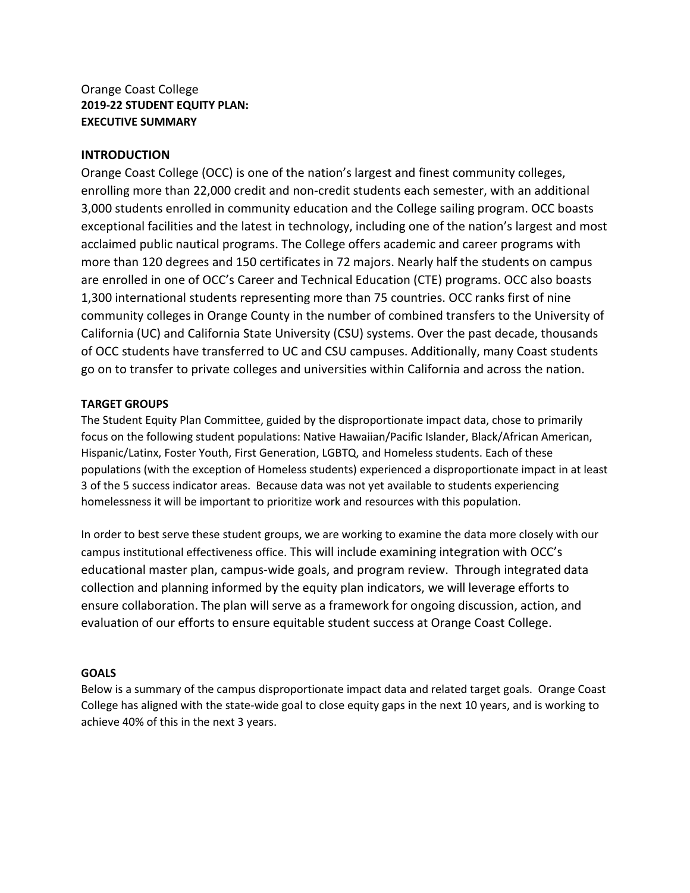#### Orange Coast College **2019-22 STUDENT EQUITY PLAN: EXECUTIVE SUMMARY**

#### **INTRODUCTION**

 enrolling more than 22,000 credit and non-credit students each semester, with an additional 3,000 students enrolled in community education and the College sailing program. OCC boasts exceptional facilities and the latest in technology, including one of the nation's largest and most more than 120 degrees and 150 certificates in 72 majors. Nearly half the students on campus are enrolled in one of OCC's Career and Technical Education (CTE) programs. OCC also boasts Orange Coast College (OCC) is one of the nation's largest and finest community colleges, acclaimed public nautical programs. The College offers academic and career programs with 1,300 international students representing more than 75 countries. OCC ranks first of nine community colleges in Orange County in the number of combined transfers to the University of California (UC) and California State University (CSU) systems. Over the past decade, thousands of OCC students have transferred to UC and CSU campuses. Additionally, many Coast students go on to transfer to private colleges and universities within California and across the nation.

#### **TARGET GROUPS**

 The Student Equity Plan Committee, guided by the disproportionate impact data, chose to primarily Hispanic/Latinx, Foster Youth, First Generation, LGBTQ, and Homeless students. Each of these 3 of the 5 success indicator areas. Because data was not yet available to students experiencing focus on the following student populations: Native Hawaiian/Pacific Islander, Black/African American, populations (with the exception of Homeless students) experienced a disproportionate impact in at least homelessness it will be important to prioritize work and resources with this population.

 In order to best serve these student groups, we are working to examine the data more closely with our campus institutional effectiveness office. This will include examining integration with OCC's educational master plan, campus-wide goals, and program review. Through integrated data collection and planning informed by the equity plan indicators, we will leverage efforts to ensure collaboration. The plan will serve as a framework for ongoing discussion, action, and evaluation of our efforts to ensure equitable student success at Orange Coast College.

#### **GOALS**

 Below is a summary of the campus disproportionate impact data and related target goals. Orange Coast College has aligned with the state-wide goal to close equity gaps in the next 10 years, and is working to achieve 40% of this in the next 3 years.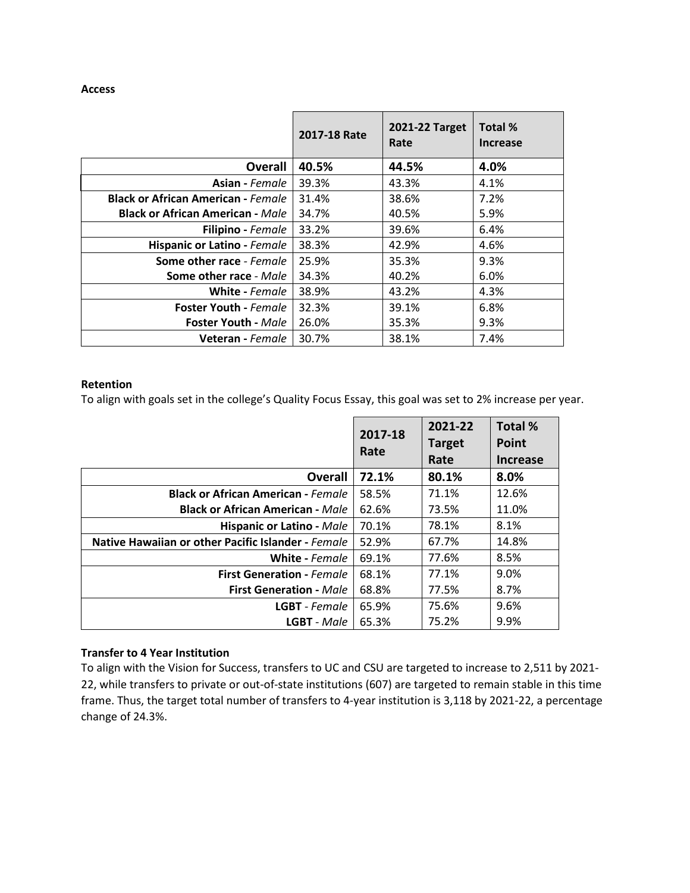#### **Access**

|                                           | 2017-18 Rate | 2021-22 Target<br>Rate | Total %<br><b>Increase</b> |
|-------------------------------------------|--------------|------------------------|----------------------------|
| <b>Overall</b>                            | 40.5%        | 44.5%                  | 4.0%                       |
| <b>Asian</b> - Female                     | 39.3%        | 43.3%                  | 4.1%                       |
| <b>Black or African American - Female</b> | 31.4%        | 38.6%                  | 7.2%                       |
| <b>Black or African American - Male</b>   | 34.7%        | 40.5%                  | 5.9%                       |
| <b>Filipino</b> - Female                  | 33.2%        | 39.6%                  | 6.4%                       |
| Hispanic or Latino - Female               | 38.3%        | 42.9%                  | 4.6%                       |
| Some other race - Female                  | 25.9%        | 35.3%                  | 9.3%                       |
| Some other race - Male                    | 34.3%        | 40.2%                  | 6.0%                       |
| <b>White - Female</b>                     | 38.9%        | 43.2%                  | 4.3%                       |
| <b>Foster Youth - Female</b>              | 32.3%        | 39.1%                  | 6.8%                       |
| <b>Foster Youth - Male</b>                | 26.0%        | 35.3%                  | 9.3%                       |
| <b>Veteran</b> - Female                   | 30.7%        | 38.1%                  | 7.4%                       |

#### **Retention**

To align with goals set in the college's Quality Focus Essay, this goal was set to 2% increase per year.

|                                                    | 2017-18 | 2021-22               | Total %                  |
|----------------------------------------------------|---------|-----------------------|--------------------------|
|                                                    | Rate    | <b>Target</b><br>Rate | Point<br><b>Increase</b> |
| <b>Overall</b>                                     | 72.1%   | 80.1%                 | 8.0%                     |
| <b>Black or African American - Female</b>          | 58.5%   | 71.1%                 | 12.6%                    |
| <b>Black or African American - Male</b>            | 62.6%   | 73.5%                 | 11.0%                    |
| <b>Hispanic or Latino - Male</b>                   | 70.1%   | 78.1%                 | 8.1%                     |
| Native Hawaiian or other Pacific Islander - Female | 52.9%   | 67.7%                 | 14.8%                    |
| White - Female                                     | 69.1%   | 77.6%                 | 8.5%                     |
| <b>First Generation - Female</b>                   | 68.1%   | 77.1%                 | 9.0%                     |
| <b>First Generation - Male</b>                     | 68.8%   | 77.5%                 | 8.7%                     |
| <b>LGBT</b> - Female                               | 65.9%   | 75.6%                 | 9.6%                     |
| <b>LGBT</b> - Male                                 | 65.3%   | 75.2%                 | 9.9%                     |

#### **Transfer to 4 Year Institution**

 To align with the Vision for Success, transfers to UC and CSU are targeted to increase to 2,511 by 2021- 22, while transfers to private or out-of-state institutions (607) are targeted to remain stable in this time frame. Thus, the target total number of transfers to 4-year institution is 3,118 by 2021-22, a percentage change of 24.3%.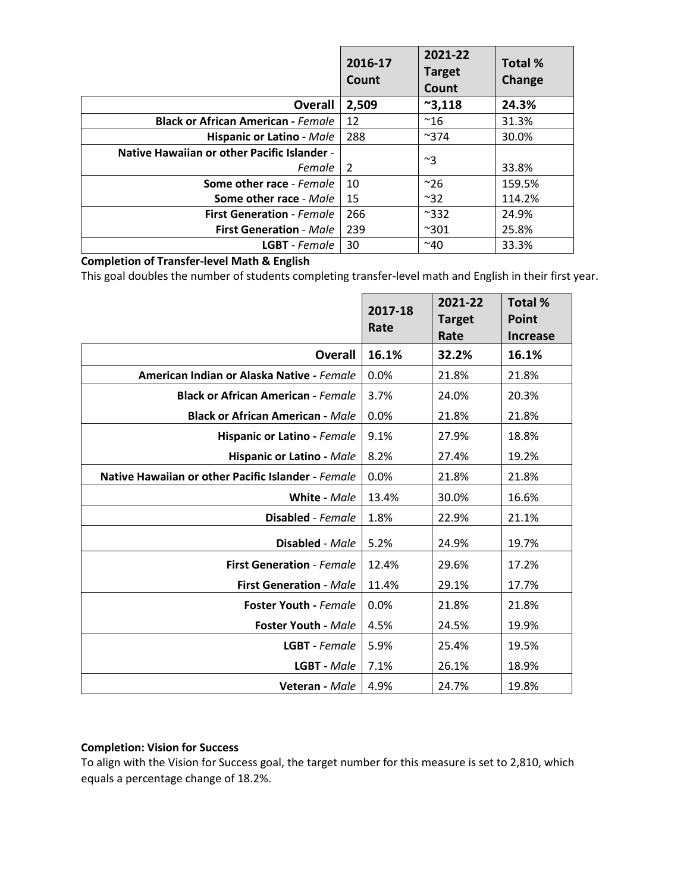|                                             | 2016-17<br>Count | 2021-22<br><b>Target</b><br>Count | <b>Total %</b><br>Change |
|---------------------------------------------|------------------|-----------------------------------|--------------------------|
| <b>Overall</b>                              | 2,509            | $^{\sim}3,118$                    | 24.3%                    |
| <b>Black or African American - Female</b>   | 12               | $^{\sim}$ 16                      | 31.3%                    |
| <b>Hispanic or Latino - Male</b>            | 288              | $^{\sim}374$                      | 30.0%                    |
| Native Hawaiian or other Pacific Islander - |                  | ~3                                |                          |
| Female                                      | $\overline{2}$   |                                   | 33.8%                    |
| Some other race - Female                    | 10               | $^{\sim}26$                       | 159.5%                   |
| Some other race - Male                      | 15               | $~^{\sim}32$                      | 114.2%                   |
| <b>First Generation - Female</b>            | 266              | $^{\sim}332$                      | 24.9%                    |
| <b>First Generation - Male</b>              | 239              | $^{\sim}301$                      | 25.8%                    |
| <b>LGBT</b> - Female                        | 30               | $^{\sim}40$                       | 33.3%                    |

#### **Completion of Transfer-level Math & English**

This goal doubles the number of students completing transfer-level math and English in their first year.

|                                                    | 2017-18<br>Rate | 2021-22<br><b>Target</b><br>Rate | Total %<br>Point<br><b>Increase</b> |
|----------------------------------------------------|-----------------|----------------------------------|-------------------------------------|
| <b>Overall</b>                                     | 16.1%           | 32.2%                            | 16.1%                               |
| American Indian or Alaska Native - Female          | 0.0%            | 21.8%                            | 21.8%                               |
| <b>Black or African American - Female</b>          | 3.7%            | 24.0%                            | 20.3%                               |
| <b>Black or African American - Male</b>            | 0.0%            | 21.8%                            | 21.8%                               |
| Hispanic or Latino - Female                        | 9.1%            | 27.9%                            | 18.8%                               |
| Hispanic or Latino - Male                          | 8.2%            | 27.4%                            | 19.2%                               |
| Native Hawaiian or other Pacific Islander - Female | 0.0%            | 21.8%                            | 21.8%                               |
| White - Male                                       | 13.4%           | 30.0%                            | 16.6%                               |
| Disabled - Female                                  | 1.8%            | 22.9%                            | 21.1%                               |
| Disabled - Male                                    | 5.2%            | 24.9%                            | 19.7%                               |
| <b>First Generation - Female</b>                   | 12.4%           | 29.6%                            | 17.2%                               |
| <b>First Generation - Male</b>                     | 11.4%           | 29.1%                            | 17.7%                               |
| <b>Foster Youth - Female</b>                       | 0.0%            | 21.8%                            | 21.8%                               |
| <b>Foster Youth - Male</b>                         | 4.5%            | 24.5%                            | 19.9%                               |
| <b>LGBT</b> - Female                               | 5.9%            | 25.4%                            | 19.5%                               |
| <b>LGBT</b> - Male                                 | 7.1%            | 26.1%                            | 18.9%                               |
| <b>Veteran</b> - Male                              | 4.9%            | 24.7%                            | 19.8%                               |

#### **Completion: Vision for Success**

 To align with the Vision for Success goal, the target number for this measure is set to 2,810, which equals a percentage change of 18.2%.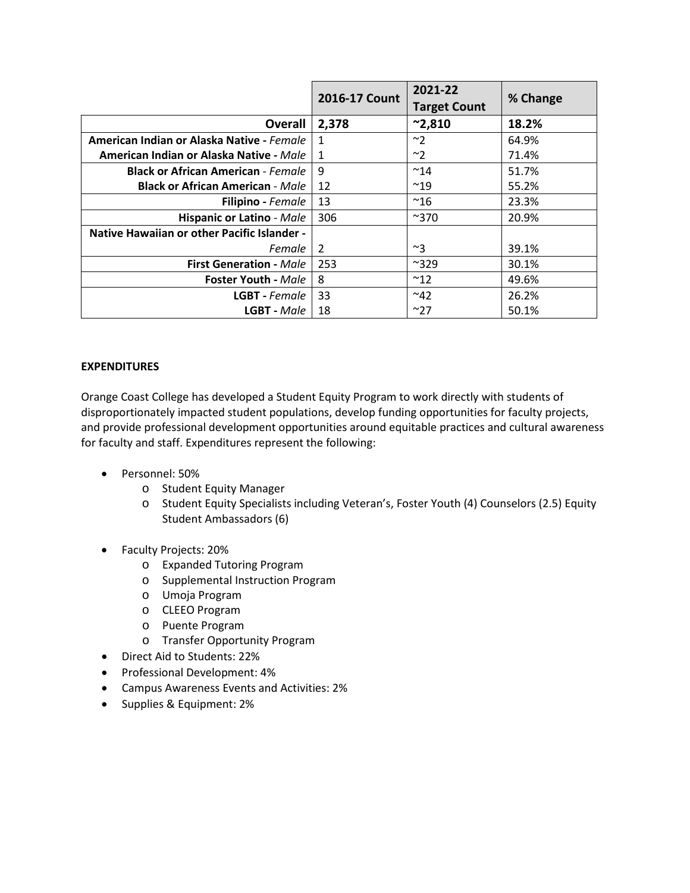|                                             | 2016-17 Count  | 2021-22<br><b>Target Count</b> | % Change |
|---------------------------------------------|----------------|--------------------------------|----------|
| Overall                                     | 2,378          | $^{\sim}$ 2,810                | 18.2%    |
| American Indian or Alaska Native - Female   | $\mathbf{1}$   | ~2                             | 64.9%    |
| American Indian or Alaska Native - Male     | 1              | ~2                             | 71.4%    |
| <b>Black or African American - Female</b>   | 9              | $~^{\sim}$ 14                  | 51.7%    |
| <b>Black or African American - Male</b>     | 12             | $~^{\sim}19$                   | 55.2%    |
| <b>Filipino</b> - Female                    | 13             | $^{\sim}16$                    | 23.3%    |
| <b>Hispanic or Latino - Male</b>            | 306            | $^{\sim}370$                   | 20.9%    |
| Native Hawaiian or other Pacific Islander - |                |                                |          |
| Female                                      | $\overline{2}$ | $~^{\sim}$ 3                   | 39.1%    |
| <b>First Generation - Male</b>              | 253            | $^{\sim}329$                   | 30.1%    |
| <b>Foster Youth - Male</b>                  | 8              | $^{\sim}$ 12                   | 49.6%    |
| <b>LGBT</b> - Female                        | 33             | $~^{\sim}$ 42                  | 26.2%    |
| <b>LGBT</b> - Male                          | 18             | ~27                            | 50.1%    |

#### **EXPENDITURES**

 Orange Coast College has developed a Student Equity Program to work directly with students of disproportionately impacted student populations, develop funding opportunities for faculty projects, and provide professional development opportunities around equitable practices and cultural awareness for faculty and staff. Expenditures represent the following:

- Personnel: 50%
	- o Student Equity Manager
	- o Student Equity Specialists including Veteran's, Foster Youth (4) Counselors (2.5) Equity Student Ambassadors (6)
- Faculty Projects: 20%
	- o Expanded Tutoring Program
	- o Supplemental Instruction Program
	- o Umoja Program
	- o CLEEO Program
	- o Puente Program
	- o Transfer Opportunity Program
- Direct Aid to Students: 22%
- Professional Development: 4%
- Campus Awareness Events and Activities: 2%
- Supplies & Equipment: 2%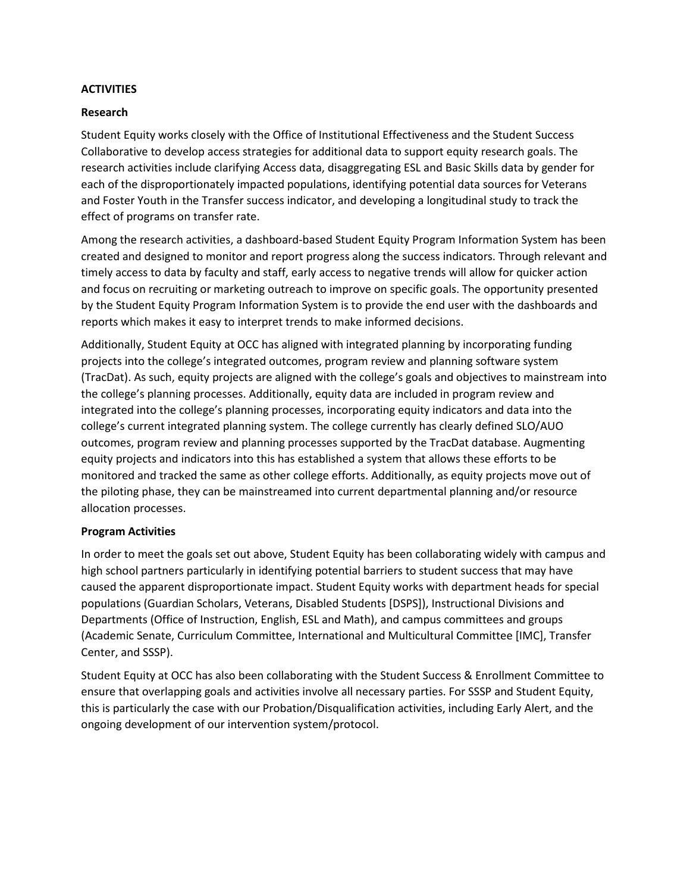#### **ACTIVITIES**

#### **Research**

 and Foster Youth in the Transfer success indicator, and developing a longitudinal study to track the Student Equity works closely with the Office of Institutional Effectiveness and the Student Success Collaborative to develop access strategies for additional data to support equity research goals. The research activities include clarifying Access data, disaggregating ESL and Basic Skills data by gender for each of the disproportionately impacted populations, identifying potential data sources for Veterans effect of programs on transfer rate.

 created and designed to monitor and report progress along the success indicators. Through relevant and and focus on recruiting or marketing outreach to improve on specific goals. The opportunity presented Among the research activities, a dashboard-based Student Equity Program Information System has been timely access to data by faculty and staff, early access to negative trends will allow for quicker action by the Student Equity Program Information System is to provide the end user with the dashboards and reports which makes it easy to interpret trends to make informed decisions.

 (TracDat). As such, equity projects are aligned with the college's goals and objectives to mainstream into monitored and tracked the same as other college efforts. Additionally, as equity projects move out of Additionally, Student Equity at OCC has aligned with integrated planning by incorporating funding projects into the college's integrated outcomes, program review and planning software system the college's planning processes. Additionally, equity data are included in program review and integrated into the college's planning processes, incorporating equity indicators and data into the college's current integrated planning system. The college currently has clearly defined SLO/AUO outcomes, program review and planning processes supported by the TracDat database. Augmenting equity projects and indicators into this has established a system that allows these efforts to be the piloting phase, they can be mainstreamed into current departmental planning and/or resource allocation processes.

#### **Program Activities**

 In order to meet the goals set out above, Student Equity has been collaborating widely with campus and high school partners particularly in identifying potential barriers to student success that may have caused the apparent disproportionate impact. Student Equity works with department heads for special populations (Guardian Scholars, Veterans, Disabled Students [DSPS]), Instructional Divisions and Departments (Office of Instruction, English, ESL and Math), and campus committees and groups (Academic Senate, Curriculum Committee, International and Multicultural Committee [IMC], Transfer Center, and SSSP).

 Student Equity at OCC has also been collaborating with the Student Success & Enrollment Committee to this is particularly the case with our Probation/Disqualification activities, including Early Alert, and the ongoing development of our intervention system/protocol. ensure that overlapping goals and activities involve all necessary parties. For SSSP and Student Equity,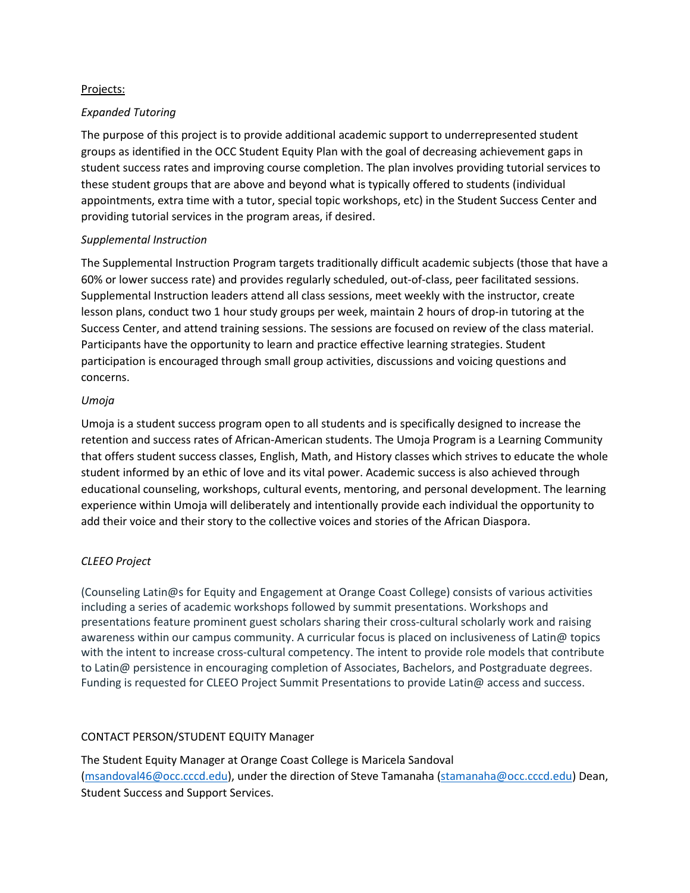#### Projects:

#### *Expanded Tutoring*

 The purpose of this project is to provide additional academic support to underrepresented student groups as identified in the OCC Student Equity Plan with the goal of decreasing achievement gaps in student success rates and improving course completion. The plan involves providing tutorial services to these student groups that are above and beyond what is typically offered to students (individual appointments, extra time with a tutor, special topic workshops, etc) in the Student Success Center and providing tutorial services in the program areas, if desired.

#### *Supplemental Instruction*

 lesson plans, conduct two 1 hour study groups per week, maintain 2 hours of drop-in tutoring at the Success Center, and attend training sessions. The sessions are focused on review of the class material. participation is encouraged through small group activities, discussions and voicing questions and The Supplemental Instruction Program targets traditionally difficult academic subjects (those that have a 60% or lower success rate) and provides regularly scheduled, out-of-class, peer facilitated sessions. Supplemental Instruction leaders attend all class sessions, meet weekly with the instructor, create Participants have the opportunity to learn and practice effective learning strategies. Student concerns.

#### *Umoja*

 add their voice and their story to the collective voices and stories of the African Diaspora. Umoja is a student success program open to all students and is specifically designed to increase the retention and success rates of African-American students. The Umoja Program is a Learning Community that offers student success classes, English, Math, and History classes which strives to educate the whole student informed by an ethic of love and its vital power. Academic success is also achieved through educational counseling, workshops, cultural events, mentoring, and personal development. The learning experience within Umoja will deliberately and intentionally provide each individual the opportunity to

#### *CLEEO Project*

 including a series of academic workshops followed by summit presentations. Workshops and awareness within our campus community. A curricular focus is placed on inclusiveness of Latin@ topics Funding is requested for CLEEO Project Summit Presentations to provide Latin@ access and success. (Counseling Latin@s for Equity and Engagement at Orange Coast College) consists of various activities presentations feature prominent guest scholars sharing their cross-cultural scholarly work and raising with the intent to increase cross-cultural competency. The intent to provide role models that contribute to Latin@ persistence in encouraging completion of Associates, Bachelors, and Postgraduate degrees.

#### CONTACT PERSON/STUDENT EQUITY Manager

 [\(msandoval46@occ.cccd.edu\)](mailto:msandoval46@occ.cccd.edu), under the direction of Steve Tamanaha [\(stamanaha@occ.cccd.edu\)](mailto:stamanaha@occ.cccd.edu) Dean, The Student Equity Manager at Orange Coast College is Maricela Sandoval Student Success and Support Services.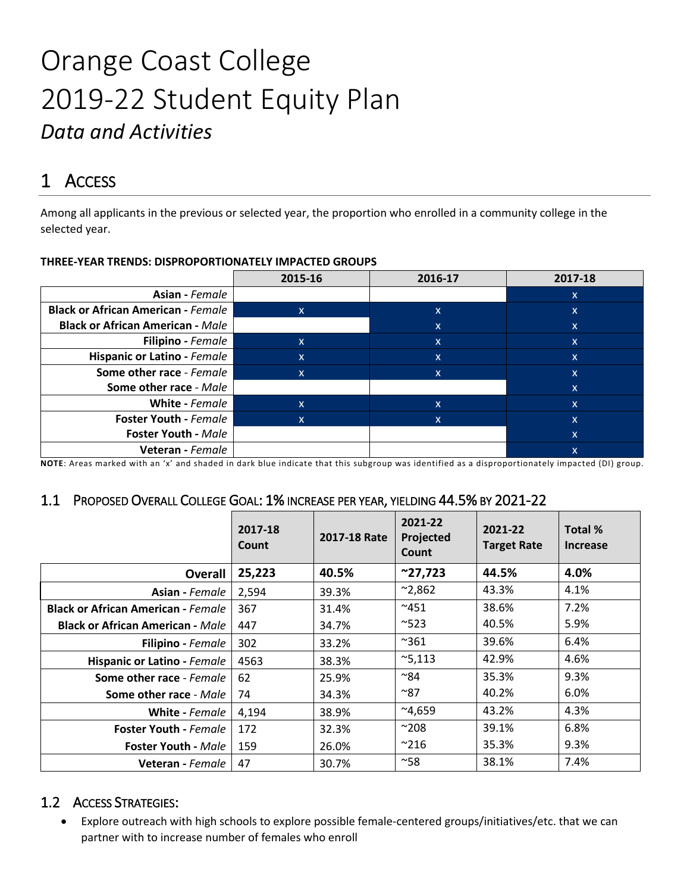# 2019-22 Student Equity Plan Orange Coast College *Data and Activities*

# 1 ACCESS

Among all applicants in the previous or selected year, the proportion who enrolled in a community college in the selected year.

|                                           | 2015-16                   | 2016-17  | 2017-18 |
|-------------------------------------------|---------------------------|----------|---------|
| Asian - Female                            |                           |          | X       |
| <b>Black or African American - Female</b> | X                         | <b>X</b> | X       |
| <b>Black or African American - Male</b>   |                           | X        | X       |
| <b>Filipino</b> - Female                  | X                         | X        | X       |
| Hispanic or Latino - Female               | $\boldsymbol{\mathsf{x}}$ | X        | X       |
| Some other race - Female                  | $\mathsf{x}$              | X        | X       |
| Some other race - Male                    |                           |          | X       |
| White - Female                            | $\boldsymbol{\mathsf{x}}$ | x        | X       |
| <b>Foster Youth - Female</b>              | $\mathsf{x}$              | X.       | X       |
| <b>Foster Youth - Male</b>                |                           |          | X       |
| Veteran - Female                          |                           |          | X       |

#### **THREE-YEAR TRENDS: DISPROPORTIONATELY IMPACTED GROUPS**

**NOTE**: Areas marked with an 'x' and shaded in dark blue indicate that this subgroup was identified as a disproportionately impacted (DI) group.

### 1.1 PROPOSED OVERALL COLLEGE GOAL: 1% INCREASE PER YEAR, YIELDING 44.5% BY 2021-22

|                                           | 2017-18<br>Count | 2017-18 Rate | 2021-22<br>Projected<br><b>Count</b> | 2021-22<br><b>Target Rate</b> | Total %<br>Increase |
|-------------------------------------------|------------------|--------------|--------------------------------------|-------------------------------|---------------------|
| <b>Overall</b>                            | 25,223           | 40.5%        | $^{\sim}$ 27,723                     | 44.5%                         | 4.0%                |
| <b>Asian</b> - Female                     | 2,594            | 39.3%        | $^{\sim}$ 2,862                      | 43.3%                         | 4.1%                |
| <b>Black or African American - Female</b> | 367              | 31.4%        | $^{\sim}451$                         | 38.6%                         | 7.2%                |
| <b>Black or African American - Male</b>   | 447              | 34.7%        | $^{\sim}523$                         | 40.5%                         | 5.9%                |
| <b>Filipino</b> - Female                  | 302              | 33.2%        | $^{\sim}361$                         | 39.6%                         | 6.4%                |
| Hispanic or Latino - Female               | 4563             | 38.3%        | $^{\sim}5,113$                       | 42.9%                         | 4.6%                |
| <b>Some other race - Female</b>           | 62               | 25.9%        | $^{\sim}84$                          | 35.3%                         | 9.3%                |
| <b>Some other race - Male</b>             | 74               | 34.3%        | $^{\sim}$ 87                         | 40.2%                         | 6.0%                |
| <b>White</b> - Female                     | 4,194            | 38.9%        | $^{\sim}4,659$                       | 43.2%                         | 4.3%                |
| <b>Foster Youth - Female</b>              | 172              | 32.3%        | $^{\sim}208$                         | 39.1%                         | 6.8%                |
| <b>Foster Youth - Male</b>                | 159              | 26.0%        | $^{\sim}$ 216                        | 35.3%                         | 9.3%                |
| <b>Veteran</b> - Female                   | 47               | 30.7%        | $^{\sim}58$                          | 38.1%                         | 7.4%                |

### 1.2 ACCESS STRATEGIES:

• Explore outreach with high schools to explore possible female-centered groups/initiatives/etc. that we can partner with to increase number of females who enroll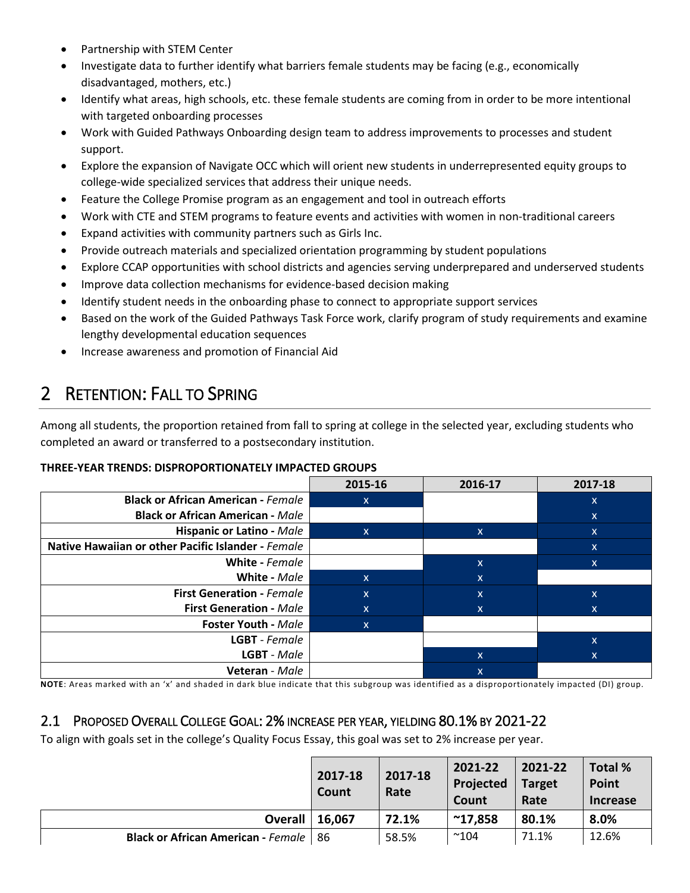- Partnership with STEM Center
- disadvantaged, mothers, etc.) • Investigate data to further identify what barriers female students may be facing (e.g., economically
- • Identify what areas, high schools, etc. these female students are coming from in order to be more intentional with targeted onboarding processes
- • Work with Guided Pathways Onboarding design team to address improvements to processes and student support.
- Explore the expansion of Navigate OCC which will orient new students in underrepresented equity groups to college-wide specialized services that address their unique needs.
- Feature the College Promise program as an engagement and tool in outreach efforts
- Work with CTE and STEM programs to feature events and activities with women in non-traditional careers
- Expand activities with community partners such as Girls Inc.
- Provide outreach materials and specialized orientation programming by student populations
- Explore CCAP opportunities with school districts and agencies serving underprepared and underserved students
- Improve data collection mechanisms for evidence-based decision making
- Identify student needs in the onboarding phase to connect to appropriate support services
- • Based on the work of the Guided Pathways Task Force work, clarify program of study requirements and examine lengthy developmental education sequences
- Increase awareness and promotion of Financial Aid

# 2 RETENTION: FALL TO SPRING

 Among all students, the proportion retained from fall to spring at college in the selected year, excluding students who completed an award or transferred to a postsecondary institution.

#### **THREE-YEAR TRENDS: DISPROPORTIONATELY IMPACTED GROUPS**

|                                                    | 2015-16      | 2016-17 | 2017-18                   |
|----------------------------------------------------|--------------|---------|---------------------------|
| <b>Black or African American - Female</b>          | $\mathsf{x}$ |         | X                         |
| <b>Black or African American - Male</b>            |              |         | $\mathsf{x}$              |
| <b>Hispanic or Latino - Male</b>                   | $\mathsf{x}$ | X.      | $\mathsf{x}$              |
| Native Hawaiian or other Pacific Islander - Female |              |         | X                         |
| White - Female                                     |              | X       | x                         |
| White - Male                                       | $\mathsf{x}$ | ΙX,     |                           |
| <b>First Generation - Female</b>                   | $\mathsf{x}$ | ΙX,     | $\boldsymbol{\mathsf{x}}$ |
| <b>First Generation - Male</b>                     | X            | x       | x                         |
| <b>Foster Youth - Male</b>                         | $\mathsf{x}$ |         |                           |
| <b>LGBT</b> - Female                               |              |         | $\mathsf{x}$              |
| LGBT - Male                                        |              | X       | X                         |
| <b>Veteran</b> - Male                              |              | X       |                           |

**NOTE**: Areas marked with an 'x' and shaded in dark blue indicate that this subgroup was identified as a disproportionately impacted (DI) group.

# 2.1 PROPOSED OVERALL COLLEGE GOAL: 2% INCREASE PER YEAR, YIELDING 80.1% BY 2021-22

To align with goals set in the college's Quality Focus Essay, this goal was set to 2% increase per year.

|                                                | 2017-18<br>Count | 2017-18<br>Rate | 2021-22<br>Projected<br>Count | 2021-22<br><b>Target</b><br>Rate | Total %<br>Point<br><b>Increase</b> |
|------------------------------------------------|------------------|-----------------|-------------------------------|----------------------------------|-------------------------------------|
| <b>Overall   16,067</b>                        |                  | 72.1%           | $^{\sim}$ 17,858              | 80.1%                            | 8.0%                                |
| <b>Black or African American - Female   86</b> |                  | 58.5%           | $^{\sim}104$                  | 71.1%                            | 12.6%                               |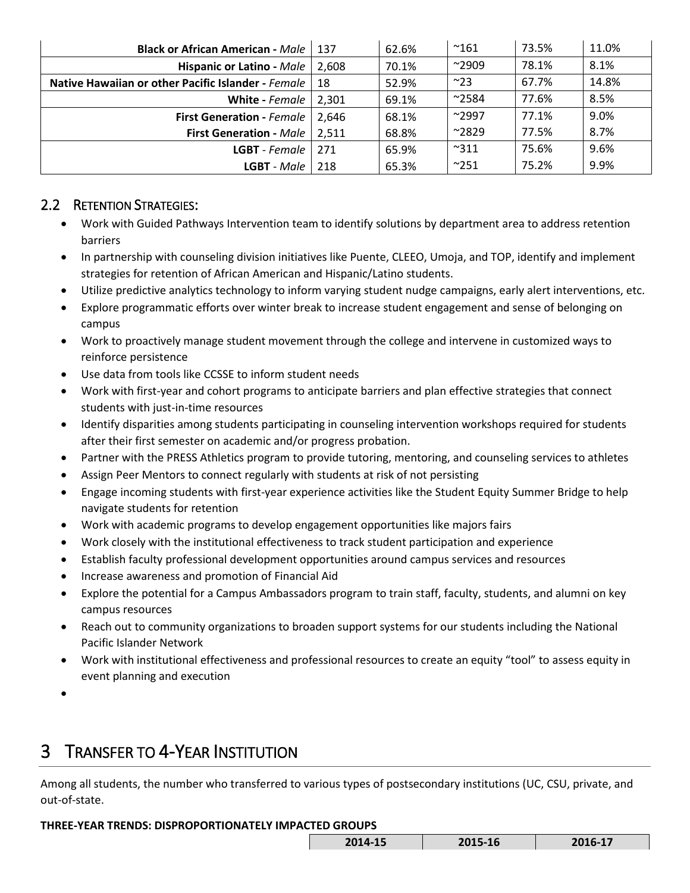| <b>Black or African American - Male</b>            | - 137 | 62.6% | $^{\sim}161$   | 73.5% | 11.0% |
|----------------------------------------------------|-------|-------|----------------|-------|-------|
| Hispanic or Latino - Male                          | 2.608 | 70.1% | $^{\sim}$ 2909 | 78.1% | 8.1%  |
| Native Hawaiian or other Pacific Islander - Female | -18   | 52.9% | $^{\sim}23$    | 67.7% | 14.8% |
| White - Female                                     | 2.301 | 69.1% | $^{\sim}$ 2584 | 77.6% | 8.5%  |
| <b>First Generation - Female</b>                   | 2.646 | 68.1% | $^{\sim}$ 2997 | 77.1% | 9.0%  |
| <b>First Generation - Male</b>                     | 2.511 | 68.8% | $^{\sim}2829$  | 77.5% | 8.7%  |
| <b>LGBT</b> - Female                               | 271   | 65.9% | $^{\sim}311$   | 75.6% | 9.6%  |
| <b>LGBT</b> - Male                                 | 218   | 65.3% | $^{\sim}$ 251  | 75.2% | 9.9%  |

# 2.2 RETENTION STRATEGIES:

- Work with Guided Pathways Intervention team to identify solutions by department area to address retention barriers
- In partnership with counseling division initiatives like Puente, CLEEO, Umoja, and TOP, identify and implement strategies for retention of African American and Hispanic/Latino students.
- Utilize predictive analytics technology to inform varying student nudge campaigns, early alert interventions, etc.
- Explore programmatic efforts over winter break to increase student engagement and sense of belonging on campus
- • Work to proactively manage student movement through the college and intervene in customized ways to reinforce persistence
- Use data from tools like CCSSE to inform student needs
- Work with first-year and cohort programs to anticipate barriers and plan effective strategies that connect students with just-in-time resources
- • Identify disparities among students participating in counseling intervention workshops required for students after their first semester on academic and/or progress probation.
- Partner with the PRESS Athletics program to provide tutoring, mentoring, and counseling services to athletes
- Assign Peer Mentors to connect regularly with students at risk of not persisting
- Engage incoming students with first-year experience activities like the Student Equity Summer Bridge to help navigate students for retention
- Work with academic programs to develop engagement opportunities like majors fairs
- Work closely with the institutional effectiveness to track student participation and experience
- Establish faculty professional development opportunities around campus services and resources
- Increase awareness and promotion of Financial Aid
- Explore the potential for a Campus Ambassadors program to train staff, faculty, students, and alumni on key campus resources
- • Reach out to community organizations to broaden support systems for our students including the National Pacific Islander Network
- • Work with institutional effectiveness and professional resources to create an equity "tool" to assess equity in event planning and execution
- •

# 3 TRANSFER TO 4-YEAR INSTITUTION

Among all students, the number who transferred to various types of postsecondary institutions (UC, CSU, private, and out-of-state.

#### **THREE-YEAR TRENDS: DISPROPORTIONATELY IMPACTED GROUPS**

| $-15$<br>201. | 1C<br>701 L<br>LO | $\overline{\phantom{a}}$<br>- |
|---------------|-------------------|-------------------------------|
|               |                   |                               |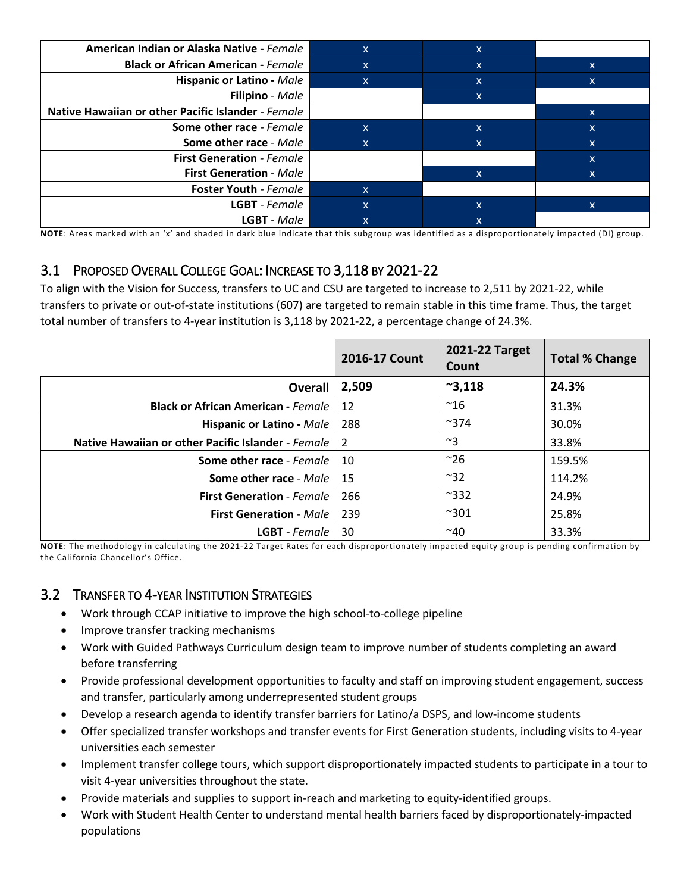| American Indian or Alaska Native - Female          | $\mathsf{X}$ | $\mathsf{x}$ |    |
|----------------------------------------------------|--------------|--------------|----|
| <b>Black or African American - Female</b>          | $\mathsf{X}$ | $\mathsf{x}$ | X. |
| <b>Hispanic or Latino - Male</b>                   | $\mathsf{X}$ | X            | X  |
| Filipino - Male                                    |              | X            |    |
| Native Hawaiian or other Pacific Islander - Female |              |              | X. |
| Some other race - Female                           | $\mathsf{X}$ | x            | x  |
| Some other race - Male                             | X.           | x            | x  |
| <b>First Generation - Female</b>                   |              |              | x  |
| <b>First Generation - Male</b>                     |              | $\mathsf{x}$ | X  |
| <b>Foster Youth - Female</b>                       | $\mathsf{x}$ |              |    |
| <b>LGBT</b> - Female                               | $\mathsf{X}$ | x            | X  |
| <b>LGBT</b> - Male                                 |              |              |    |

**NOTE**: Areas marked with an 'x' and shaded in dark blue indicate that this subgroup was identified as a disproportionately impacted (DI) group.

# 3.1 PROPOSED OVERALL COLLEGE GOAL: INCREASE TO 3,118 BY 2021-22

 To align with the Vision for Success, transfers to UC and CSU are targeted to increase to 2,511 by 2021-22, while transfers to private or out-of-state institutions (607) are targeted to remain stable in this time frame. Thus, the target total number of transfers to 4-year institution is 3,118 by 2021-22, a percentage change of 24.3%.

|                                                    | 2016-17 Count | 2021-22 Target<br>Count | <b>Total % Change</b> |
|----------------------------------------------------|---------------|-------------------------|-----------------------|
| <b>Overall</b>                                     | 2,509         | $^{\sim}3,118$          | 24.3%                 |
| <b>Black or African American - Female</b>          | 12            | $^{\sim}16$             | 31.3%                 |
| <b>Hispanic or Latino - Male</b>                   | 288           | $^{\sim}$ 374           | 30.0%                 |
| Native Hawaiian or other Pacific Islander - Female | 2             | $~^{\sim}3$             | 33.8%                 |
| Some other race - Female                           | 10            | $~^{\sim}$ 26           | 159.5%                |
| Some other race - Male                             | -15           | $~^{\sim}32$            | 114.2%                |
| <b>First Generation - Female</b>                   | 266           | $^{\sim}332$            | 24.9%                 |
| <b>First Generation - Male</b>                     | 239           | $^{\sim}301$            | 25.8%                 |
| <b>LGBT</b> - Female                               | 30            | $^{\sim}$ 40            | 33.3%                 |

 **NOTE**: The methodology in calculating the 2021-22 Target Rates for each disproportionately impacted equity group is pending confirmation by the California Chancellor's Office.

## 3.2 TRANSFER TO 4-YEAR INSTITUTION STRATEGIES

- Work through CCAP initiative to improve the high school-to-college pipeline
- Improve transfer tracking mechanisms
- Work with Guided Pathways Curriculum design team to improve number of students completing an award before transferring
- Provide professional development opportunities to faculty and staff on improving student engagement, success and transfer, particularly among underrepresented student groups
- Develop a research agenda to identify transfer barriers for Latino/a DSPS, and low-income students
- Offer specialized transfer workshops and transfer events for First Generation students, including visits to 4-year universities each semester
- Implement transfer college tours, which support disproportionately impacted students to participate in a tour to visit 4-year universities throughout the state.
- Provide materials and supplies to support in-reach and marketing to equity-identified groups.
- Work with Student Health Center to understand mental health barriers faced by disproportionately-impacted populations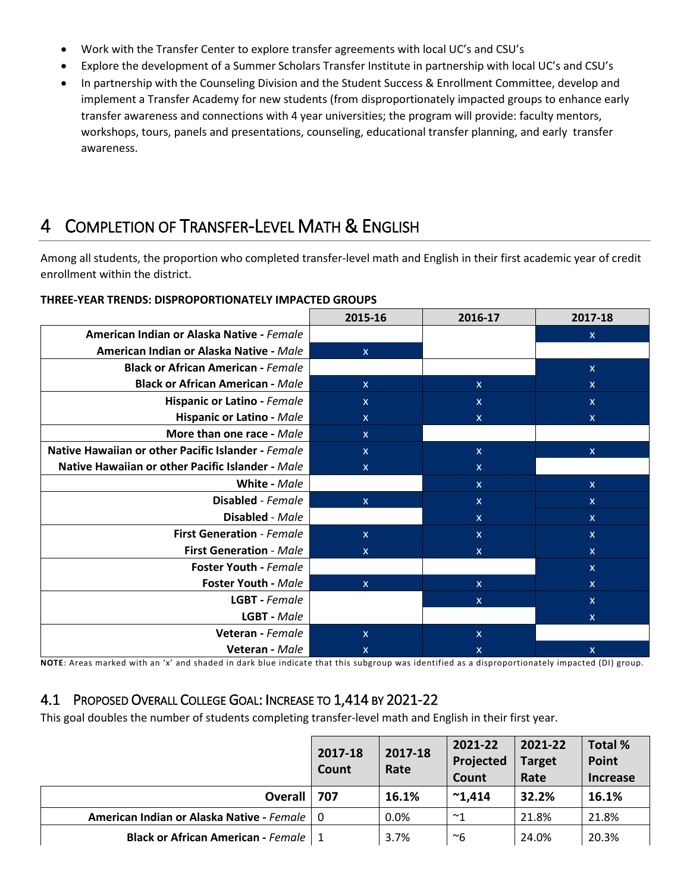- Work with the Transfer Center to explore transfer agreements with local UC's and CSU's
- Explore the development of a Summer Scholars Transfer Institute in partnership with local UC's and CSU's
- transfer awareness and connections with 4 year universities; the program will provide: faculty mentors, workshops, tours, panels and presentations, counseling, educational transfer planning, and early transfer • In partnership with the Counseling Division and the Student Success & Enrollment Committee, develop and implement a Transfer Academy for new students (from disproportionately impacted groups to enhance early awareness.

# 4 COMPLETION OF TRANSFER-LEVEL MATH & ENGLISH

 Among all students, the proportion who completed transfer-level math and English in their first academic year of credit enrollment within the district.

|                                                    | 2015-16      | 2016-17      | 2017-18      |
|----------------------------------------------------|--------------|--------------|--------------|
| American Indian or Alaska Native - Female          |              |              | $\mathsf{x}$ |
| American Indian or Alaska Native - Male            | $\mathsf{X}$ |              |              |
| <b>Black or African American - Female</b>          |              |              | $\mathsf{x}$ |
| <b>Black or African American - Male</b>            | $\mathsf{X}$ | $\mathsf{x}$ | $\mathsf{x}$ |
| Hispanic or Latino - Female                        | $\mathsf{x}$ | $\mathsf{x}$ | $\mathsf{x}$ |
| Hispanic or Latino - Male                          | X            | x            | $\mathsf{x}$ |
| More than one race - Male                          | $\mathsf{X}$ |              |              |
| Native Hawaiian or other Pacific Islander - Female | $\mathsf{X}$ | $\mathsf{X}$ | $\mathsf{x}$ |
| Native Hawaiian or other Pacific Islander - Male   | X            | X.           |              |
| White - Male                                       |              | $\mathsf{x}$ | $\mathsf{x}$ |
| <b>Disabled</b> - Female                           | $\mathsf{X}$ | $\mathsf{X}$ | $\mathsf{x}$ |
| Disabled - Male                                    |              | $\mathsf{X}$ | $\mathsf{x}$ |
| <b>First Generation - Female</b>                   | $\mathsf{X}$ | $\mathsf{X}$ | $\mathsf{x}$ |
| <b>First Generation - Male</b>                     | X            | $\mathsf{X}$ | $\mathsf{x}$ |
| <b>Foster Youth - Female</b>                       |              |              | $\mathsf{x}$ |
| <b>Foster Youth - Male</b>                         | $\mathsf{X}$ | $\mathsf{x}$ | $\mathsf{x}$ |
| LGBT - Female                                      |              | $\mathsf{x}$ | $\mathsf{x}$ |
| LGBT - Male                                        |              |              | $\mathsf{x}$ |
| Veteran - Female                                   | $\mathsf{x}$ | X            |              |
| Veteran - Male                                     | X            | x            | x            |

#### **THREE-YEAR TRENDS: DISPROPORTIONATELY IMPACTED GROUPS**

**NOTE**: Areas marked with an 'x' and shaded in dark blue indicate that this subgroup was identified as a disproportionately impacted (DI) group.

## 4.1 PROPOSED OVERALL COLLEGE GOAL: INCREASE TO 1,414 BY 2021-22

This goal doubles the number of students completing transfer-level math and English in their first year.

|                                               | 2017-18<br>Count | 2017-18<br>Rate | 2021-22<br>Projected<br>Count | 2021-22<br><b>Target</b><br>Rate | Total %<br>Point<br><b>Increase</b> |
|-----------------------------------------------|------------------|-----------------|-------------------------------|----------------------------------|-------------------------------------|
| <b>Overall</b>                                | 707              | 16.1%           | $^{\sim}$ 1.414               | 32.2%                            | 16.1%                               |
| American Indian or Alaska Native - Female   0 |                  | 0.0%            | $~\sim$ 1                     | 21.8%                            | 21.8%                               |
| <b>Black or African American - Female   1</b> |                  | 3.7%            | ~6                            | 24.0%                            | 20.3%                               |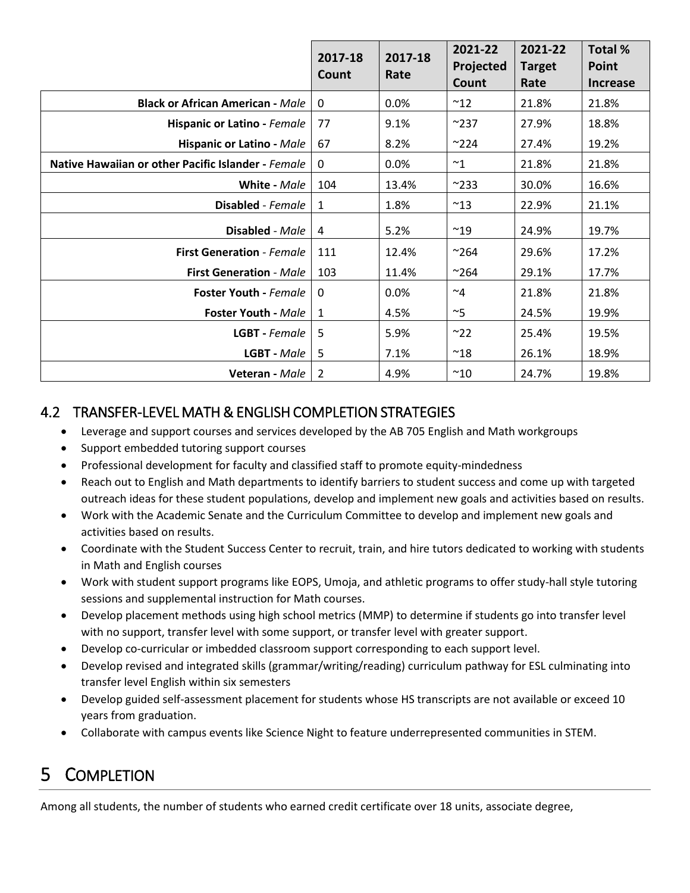|                                                    | 2017-18<br>Count | 2017-18<br>Rate | 2021-22<br>Projected<br>Count | 2021-22<br><b>Target</b><br>Rate | <b>Total %</b><br><b>Point</b><br><b>Increase</b> |
|----------------------------------------------------|------------------|-----------------|-------------------------------|----------------------------------|---------------------------------------------------|
| <b>Black or African American - Male</b>            | $\mathbf 0$      | 0.0%            | $^{\sim}$ 12                  | 21.8%                            | 21.8%                                             |
| Hispanic or Latino - Female                        | 77               | 9.1%            | $^{\sim}$ 237                 | 27.9%                            | 18.8%                                             |
| <b>Hispanic or Latino - Male</b>                   | 67               | 8.2%            | $^{\sim}$ 224                 | 27.4%                            | 19.2%                                             |
| Native Hawaiian or other Pacific Islander - Female | $\mathbf{0}$     | 0.0%            | $~^{\sim}1$                   | 21.8%                            | 21.8%                                             |
| White - Male                                       | 104              | 13.4%           | $^{\sim}233$                  | 30.0%                            | 16.6%                                             |
| Disabled - Female                                  | 1                | 1.8%            | $~^{\sim}$ 13                 | 22.9%                            | 21.1%                                             |
| Disabled - Male                                    | 4                | 5.2%            | $^{\sim}$ 19                  | 24.9%                            | 19.7%                                             |
| <b>First Generation - Female</b>                   | 111              | 12.4%           | $~^{\sim}$ 264                | 29.6%                            | 17.2%                                             |
| <b>First Generation - Male</b>                     | 103              | 11.4%           | $^{\sim}$ 264                 | 29.1%                            | 17.7%                                             |
| <b>Foster Youth - Female</b>                       | 0                | 0.0%            | $~\sim$ 4                     | 21.8%                            | 21.8%                                             |
| <b>Foster Youth - Male</b>                         | 1                | 4.5%            | $~\sim$ 5                     | 24.5%                            | 19.9%                                             |
| <b>LGBT</b> - Female                               | 5                | 5.9%            | ~22                           | 25.4%                            | 19.5%                                             |
| LGBT - Male                                        | 5                | 7.1%            | $^{\sim}18$                   | 26.1%                            | 18.9%                                             |
| Veteran - Male                                     | $\overline{2}$   | 4.9%            | $^{\sim}10$                   | 24.7%                            | 19.8%                                             |

# 4.2 TRANSFER-LEVEL MATH & ENGLISH COMPLETION STRATEGIES

- Leverage and support courses and services developed by the AB 705 English and Math workgroups
- Support embedded tutoring support courses
- Professional development for faculty and classified staff to promote equity-mindedness
- • Reach out to English and Math departments to identify barriers to student success and come up with targeted outreach ideas for these student populations, develop and implement new goals and activities based on results.
- • Work with the Academic Senate and the Curriculum Committee to develop and implement new goals and activities based on results.
- Coordinate with the Student Success Center to recruit, train, and hire tutors dedicated to working with students in Math and English courses
- sessions and supplemental instruction for Math courses. • Work with student support programs like EOPS, Umoja, and athletic programs to offer study-hall style tutoring
- Develop placement methods using high school metrics (MMP) to determine if students go into transfer level with no support, transfer level with some support, or transfer level with greater support.
- Develop co-curricular or imbedded classroom support corresponding to each support level.
- Develop revised and integrated skills (grammar/writing/reading) curriculum pathway for ESL culminating into transfer level English within six semesters
- • Develop guided self-assessment placement for students whose HS transcripts are not available or exceed 10 years from graduation.
- Collaborate with campus events like Science Night to feature underrepresented communities in STEM.

# 5 COMPLETION

Among all students, the number of students who earned credit certificate over 18 units, associate degree,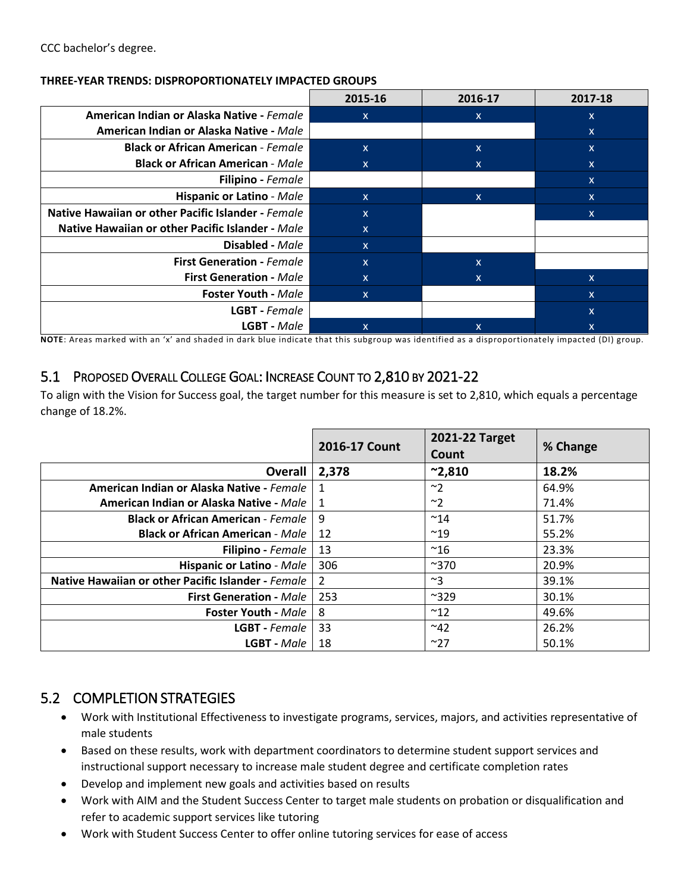#### **THREE-YEAR TRENDS: DISPROPORTIONATELY IMPACTED GROUPS**

|                                                    | 2015-16      | 2016-17      | 2017-18                   |
|----------------------------------------------------|--------------|--------------|---------------------------|
| American Indian or Alaska Native - Female          | X.           | X.           | X                         |
| American Indian or Alaska Native - Male            |              |              | X                         |
| <b>Black or African American - Female</b>          | X.           | X            | X                         |
| <b>Black or African American - Male</b>            | $\mathsf{x}$ | $\mathsf{x}$ | X                         |
| <b>Filipino</b> - Female                           |              |              | X                         |
| <b>Hispanic or Latino - Male</b>                   | $\mathsf{X}$ | $\mathsf{x}$ | X                         |
| Native Hawaiian or other Pacific Islander - Female | $\mathsf{x}$ |              | x                         |
| Native Hawaiian or other Pacific Islander - Male   | $\mathsf{X}$ |              |                           |
| Disabled - Male                                    | $\mathsf{X}$ |              |                           |
| <b>First Generation - Female</b>                   | $\mathsf{x}$ | $\mathsf{x}$ |                           |
| <b>First Generation - Male</b>                     | $\mathsf{x}$ | X            | $\mathsf{x}$              |
| <b>Foster Youth - Male</b>                         | $\mathsf{X}$ |              | $\boldsymbol{\mathsf{x}}$ |
| LGBT - Female                                      |              |              | X                         |
| <b>LGBT</b> - Male                                 | X.           | $\mathsf{x}$ | X                         |

**NOTE**: Areas marked with an 'x' and shaded in dark blue indicate that this subgroup was identified as a disproportionately impacted (DI) group.

## 5.1 PROPOSED OVERALL COLLEGE GOAL: INCREASE COUNT TO 2,810 BY 2021-22

To align with the Vision for Success goal, the target number for this measure is set to 2,810, which equals a percentage change of 18.2%.

|                                                    | 2016-17 Count | 2021-22 Target<br>Count | % Change |
|----------------------------------------------------|---------------|-------------------------|----------|
| <b>Overall</b>                                     | 2,378         | $^{\sim}2,810$          | 18.2%    |
| American Indian or Alaska Native - Female          |               | ~2                      | 64.9%    |
| American Indian or Alaska Native - Male            |               | $~^{\sim}$ 2            | 71.4%    |
| <b>Black or African American - Female  </b>        | -9            | $~^{\sim}$ 14           | 51.7%    |
| <b>Black or African American - Male  </b>          | 12            | $^{\sim}19$             | 55.2%    |
| <b>Filipino</b> - Female                           | -13           | $^{\sim}$ 16            | 23.3%    |
| <b>Hispanic or Latino - Male</b>                   | 306           | $^{\sim}370$            | 20.9%    |
| Native Hawaiian or other Pacific Islander - Female | 2             | $~^{\sim}3$             | 39.1%    |
| <b>First Generation - Male</b>                     | 253           | $^{\sim}329$            | 30.1%    |
| <b>Foster Youth - Male</b>                         | 8             | $^{\sim}12$             | 49.6%    |
| <b>LGBT</b> - Female                               | -33           | $~^{\sim}$ 42           | 26.2%    |
| $LGBT$ - Male $\parallel$                          | -18           | ~27                     | 50.1%    |

## 5.2 COMPLETION STRATEGIES

- Work with Institutional Effectiveness to investigate programs, services, majors, and activities representative of male students
- • Based on these results, work with department coordinators to determine student support services and instructional support necessary to increase male student degree and certificate completion rates
- Develop and implement new goals and activities based on results
- • Work with AIM and the Student Success Center to target male students on probation or disqualification and refer to academic support services like tutoring
- Work with Student Success Center to offer online tutoring services for ease of access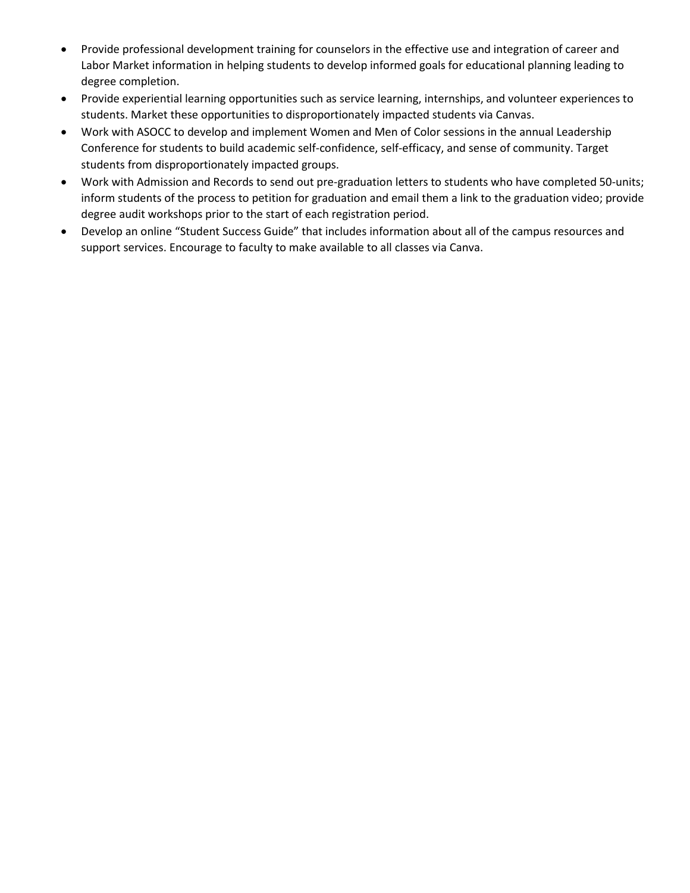- Provide professional development training for counselors in the effective use and integration of career and Labor Market information in helping students to develop informed goals for educational planning leading to degree completion.
- • Provide experiential learning opportunities such as service learning, internships, and volunteer experiences to students. Market these opportunities to disproportionately impacted students via Canvas.
- Conference for students to build academic self-confidence, self-efficacy, and sense of community. Target • Work with ASOCC to develop and implement Women and Men of Color sessions in the annual Leadership students from disproportionately impacted groups.
- Work with Admission and Records to send out pre-graduation letters to students who have completed 50-units; inform students of the process to petition for graduation and email them a link to the graduation video; provide degree audit workshops prior to the start of each registration period.
- • Develop an online "Student Success Guide" that includes information about all of the campus resources and support services. Encourage to faculty to make available to all classes via Canva.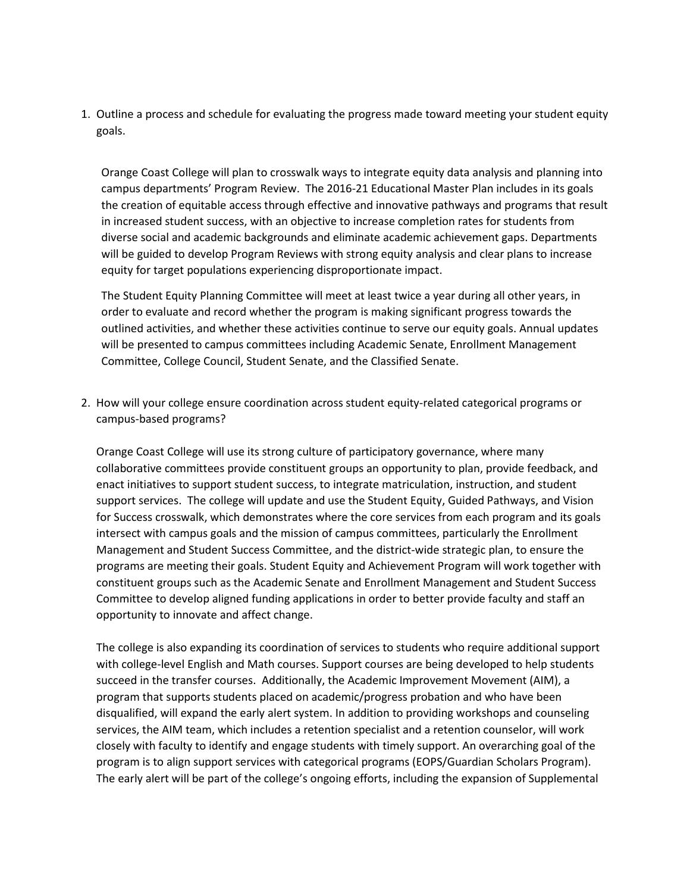1. Outline a process and schedule for evaluating the progress made toward meeting your student equity goals.

 campus departments' Program Review. The 2016-21 Educational Master Plan includes in its goals Orange Coast College will plan to crosswalk ways to integrate equity data analysis and planning into the creation of equitable access through effective and innovative pathways and programs that result in increased student success, with an objective to increase completion rates for students from diverse social and academic backgrounds and eliminate academic achievement gaps. Departments will be guided to develop Program Reviews with strong equity analysis and clear plans to increase equity for target populations experiencing disproportionate impact.

 The Student Equity Planning Committee will meet at least twice a year during all other years, in outlined activities, and whether these activities continue to serve our equity goals. Annual updates Committee, College Council, Student Senate, and the Classified Senate. order to evaluate and record whether the program is making significant progress towards the will be presented to campus committees including Academic Senate, Enrollment Management

2. How will your college ensure coordination across student equity-related categorical programs or campus-based programs?

 support services. The college will update and use the Student Equity, Guided Pathways, and Vision for Success crosswalk, which demonstrates where the core services from each program and its goals intersect with campus goals and the mission of campus committees, particularly the Enrollment programs are meeting their goals. Student Equity and Achievement Program will work together with constituent groups such as the Academic Senate and Enrollment Management and Student Success opportunity to innovate and affect change. Orange Coast College will use its strong culture of participatory governance, where many collaborative committees provide constituent groups an opportunity to plan, provide feedback, and enact initiatives to support student success, to integrate matriculation, instruction, and student Management and Student Success Committee, and the district-wide strategic plan, to ensure the Committee to develop aligned funding applications in order to better provide faculty and staff an

 succeed in the transfer courses. Additionally, the Academic Improvement Movement (AIM), a program is to align support services with categorical programs (EOPS/Guardian Scholars Program). The early alert will be part of the college's ongoing efforts, including the expansion of Supplemental The college is also expanding its coordination of services to students who require additional support with college-level English and Math courses. Support courses are being developed to help students program that supports students placed on academic/progress probation and who have been disqualified, will expand the early alert system. In addition to providing workshops and counseling services, the AIM team, which includes a retention specialist and a retention counselor, will work closely with faculty to identify and engage students with timely support. An overarching goal of the